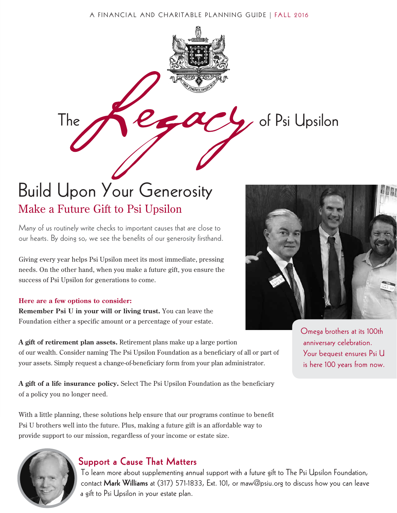#### A FINANCIAL AND CHARITABLE PLANNING GUIDE | FALL 2016

The  $P_{\epsilon}$   $Q_{\epsilon}$ , of Psi Upsilon



Many of us routinely write checks to important causes that are close to our hearts. By doing so, we see the benefits of our generosity firsthand.

Giving every year helps Psi Upsilon meet its most immediate, pressing needs. On the other hand, when you make a future gift, you ensure the success of Psi Upsilon for generations to come.

#### **Here are a few options to consider:**

**Remember Psi U in your will or living trust.** You can leave the Foundation either a specific amount or a percentage of your estate.

**A gift of retirement plan assets.** Retirement plans make up a large portion of our wealth. Consider naming The Psi Upsilon Foundation as a beneficiary of all or part of your assets. Simply request a change-of-beneficiary form from your plan administrator.

**A gift of a life insurance policy.** Select The Psi Upsilon Foundation as the beneficiary of a policy you no longer need.

With a little planning, these solutions help ensure that our programs continue to benefit Psi U brothers well into the future. Plus, making a future gift is an affordable way to provide support to our mission, regardless of your income or estate size.

## Support a Cause That Matters

To learn more about supplementing annual support with a future gift to The Psi Upsilon Foundation, contact Mark Williams at (317) 571-1833, Ext. 101, or maw@psiu.org to discuss how you can leave a gift to Psi Upsilon in your estate plan.



Omega brothers at its 100th anniversary celebration. Your bequest ensures Psi U is here 100 years from now.

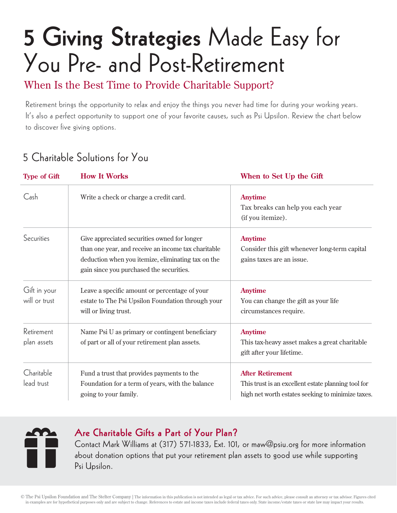# 5 Giving Strategies Made Easy for You Pre- and Post-Retirement

When Is the Best Time to Provide Charitable Support?

Retirement brings the opportunity to relax and enjoy the things you never had time for during your working years. It's also a perfect opportunity to support one of your favorite causes, such as Psi Upsilon. Review the chart below to discover five giving options.

## 5 Charitable Solutions for You

| <b>Type of Gift</b>              | <b>How It Works</b>                                                                                                                                                                                   | When to Set Up the Gift                                                                                                             |
|----------------------------------|-------------------------------------------------------------------------------------------------------------------------------------------------------------------------------------------------------|-------------------------------------------------------------------------------------------------------------------------------------|
| Cash                             | Write a check or charge a credit card.                                                                                                                                                                | <b>Anytime</b><br>Tax breaks can help you each year<br>(if you itemize).                                                            |
| Securities                       | Give appreciated securities owned for longer<br>than one year, and receive an income tax charitable<br>deduction when you itemize, eliminating tax on the<br>gain since you purchased the securities. | <b>Anytime</b><br>Consider this gift whenever long-term capital<br>gains taxes are an issue.                                        |
| Gift in your<br>will or trust    | Leave a specific amount or percentage of your<br>estate to The Psi Upsilon Foundation through your<br>will or living trust.                                                                           | <b>Anytime</b><br>You can change the gift as your life<br>circumstances require.                                                    |
| <b>Retirement</b><br>plan assets | Name Psi U as primary or contingent beneficiary<br>of part or all of your retirement plan assets.                                                                                                     | <b>Anytime</b><br>This tax-heavy asset makes a great charitable<br>gift after your lifetime.                                        |
| Charitable<br>lead trust         | Fund a trust that provides payments to the<br>Foundation for a term of years, with the balance<br>going to your family.                                                                               | <b>After Retirement</b><br>This trust is an excellent estate planning tool for<br>high net worth estates seeking to minimize taxes. |



## Are Charitable Gifts a Part of Your Plan?

Contact Mark Williams at (317) 571-1833, Ext. 101, or maw@psiu.org for more information about donation options that put your retirement plan assets to good use while supporting Psi Upsilon.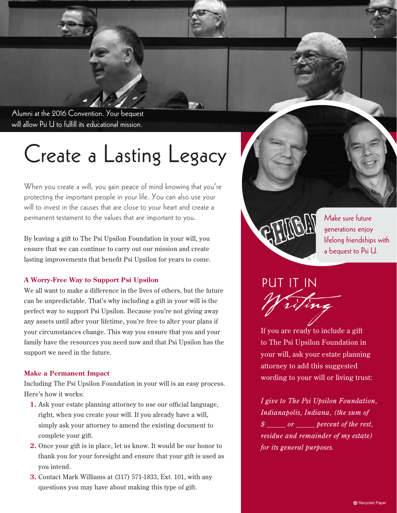Alumni at the 2016 Convention. Your bequest will allow Psi U to fulfill its educational mission.

## Create a Lasting Legacy

When you create a will, you gain peace of mind knowing that you're protecting the important people in your life. You can also use your will to invest in the causes that are close to your heart and create a permanent testament to the values that are important to you.

By leaving a gift to The Psi Upsilon Foundation in your will, you ensure that we can continue to carry out our mission and create lasting improvements that benefit Psi Upsilon for years to come.

### **A Worry-Free Way to Support Psi Upsilon**

We all want to make a difference in the lives of others, but the future can be unpredictable. That's why including a gift in your will is the perfect way to support Psi Upsilon. Because you're not giving away any assets until after your lifetime, you're free to alter your plans if your circumstances change. This way you ensure that you and your family have the resources you need now and that Psi Upsilon has the support we need in the future.

#### **Make a Permanent Impact**

Including The Psi Upsilon Foundation in your will is an easy process. Here's how it works:

- **1.** Ask your estate planning attorney to use our official language, right, when you create your will. If you already have a will, simply ask your attorney to amend the existing document to complete your gift.
- **2.** Once your gift is in place, let us know. It would be our honor to thank you for your foresight and ensure that your gift is used as you intend.
- **3.** Contact Mark Williams at (317) 571-1833, Ext. 101, with any questions you may have about making this type of gift.



Make sure future generations enjoy lifelong friendships with a bequest to Psi U.



If you are ready to include a gift to The Psi Upsilon Foundation in your will, ask your estate planning attorney to add this suggested wording to your will or living trust:

*I give to The Psi Upsilon Foundation, Indianapolis, Indiana, (the sum of \$ or percent of the rest, residue and remainder of my estate) for its general purposes.*